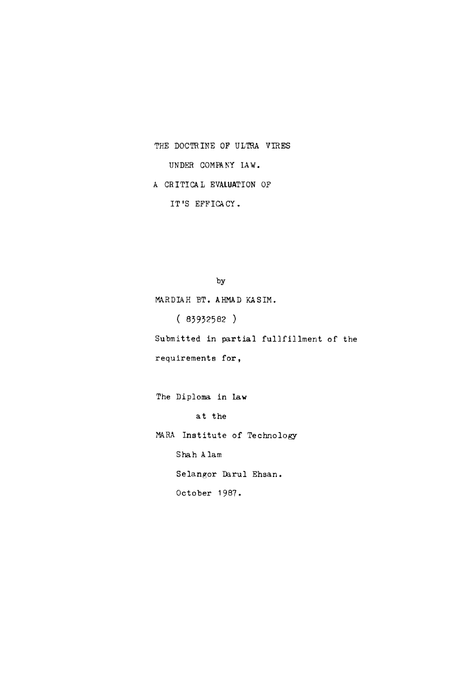THE DOCTRINE OF ULTRA VIRES

UNDER COMPANY LAW.

A CRITICAL EVALUATION OP

IT'S EFFICACY.

by

MARDIAH BT. AHMAD KASIM.

( 83932582 ) Submitted in partial fullfillment of the

requirements for,

The Diploma in Law

at the

MARA Institute of Technology Shah A lam

Selangor Darul Ehsan.

October 1987.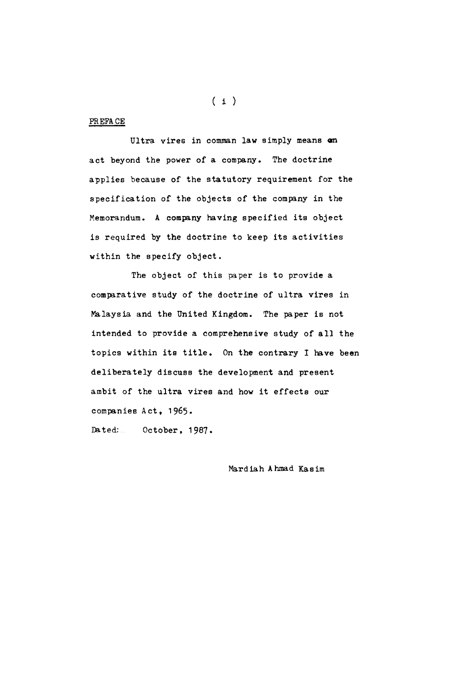PREFACE

Ultra vires in comman law simply means on act beyond the power of a company. The doctrine applies because of the statutory requirement for the specification of the objects of the company in the Memorandum. A company having specified its object is required by the doctrine to keep its activities within the specify object.

The object of this paper is to provide a comparative study of the doctrine of ultra vires in Malaysia and the United Kingdom. The paper is not intended to provide a comprehensive study of all the topics within its title. On the contrary I have been deliberately discuss the development and present ambit of the ultra vires and how it effects our companies Act, 1965.

Dated: October, 1987.

Mardiah Ahmad Kasim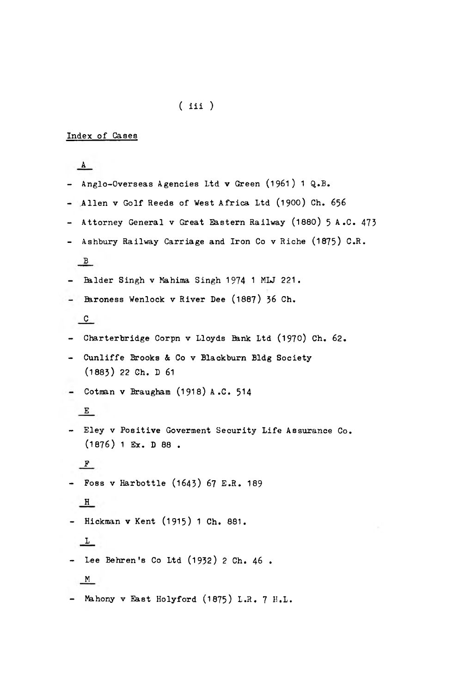# ( iii )

### Index of Cases

 $A$ - Anglo-Overseas Agencies Ltd v Green (1961) 1 Q.B. - Allen v Golf Reeds of West Africa Ltd (1900) Ch. 656 - Attorney General v Great Eastern Railway (1880) 5 A.C. 473 - Ashbury Railway Carriage and Iron Co v Riche (1875) C.R.  $B$ - Balder Singh v Mahima Singh 1974 1 MLJ 221. - Baroness Wenlock v River Dee (1887) 36 Ch.  $c$ - Charterbridge Corpn v Lloyds Bank Ltd (1970) Ch. 62. - Cunliffe Brooks & Co v Blackburn Bldg Society (1883) 22 Ch. D 61  $-$  Cotman v Braugham (1918) A.C. 514 E - Eley v Positive Goverment Security Life Assurance Co. (1876) 1 Ex. D 88 .  $F$ - Foss v Harbottle (1643) 67 E.R . 189  $H$ - Hickman v Kent (1915) 1 Ch. 881.  $\overline{\mathcal{L}}$ - Lee Behren's Co Ltd (1932) 2 Ch. 46 .  $M$ - Mahony v East Holyford (1875) L.R. 7 H.L.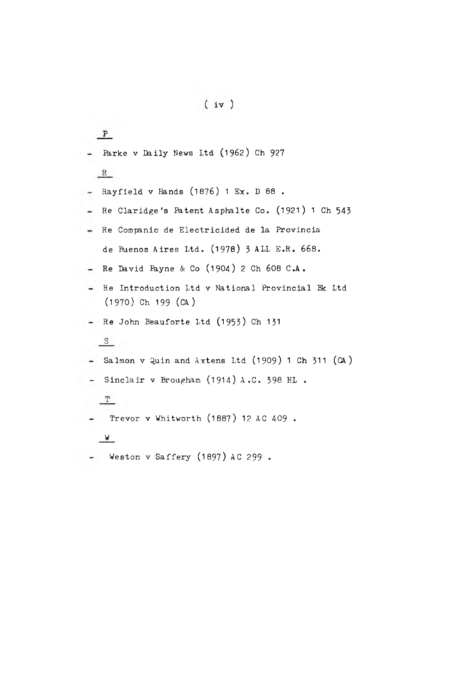$P$ - Parke v Daily News Ltd (1962) Ch 927  $R$ Rayfield v Hands (1876) 1 Ex. D 88 . Re Claridge's Patent Asphalte Co. (1921) 1 Ch 543  $\sim$ Re Companic de Electricided de la Provincia de Buenos Aires Ltd. (1978) 3 ALL E.R. 668. Re David Ikyne & Co (**19**O**4**) 2 Ch 608 C.A.  $\frac{1}{2}$ - Re Introduction Ltd v National Provincial Bk Ltd (1970) Ch 199 (CA) - Re John Beauforte Ltd (1953) Ch 131  $S$  $-$  Salmon v Quin and Axtens Ltd (1909) 1 Ch 311 (CA) - Sinclair v Brougham  $(1914)$  A.C. 398 HL.  $T$ Trevor v Whitworth (1887) 12 AC 409 .  $\sim$  $\mathbb{W}$  $-$  Weston v Saffery (1897) AC 299.

 $(iv)$